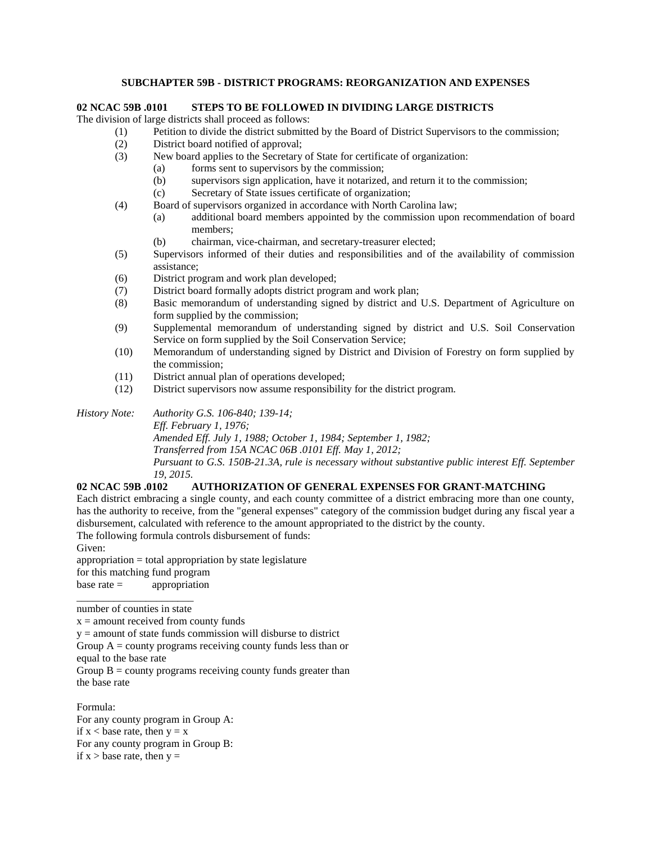## **SUBCHAPTER 59B - DISTRICT PROGRAMS: REORGANIZATION AND EXPENSES**

## **02 NCAC 59B .0101 STEPS TO BE FOLLOWED IN DIVIDING LARGE DISTRICTS**

The division of large districts shall proceed as follows:

- (1) Petition to divide the district submitted by the Board of District Supervisors to the commission;
	- (2) District board notified of approval;
	- (3) New board applies to the Secretary of State for certificate of organization:
		- (a) forms sent to supervisors by the commission;
			- (b) supervisors sign application, have it notarized, and return it to the commission;
			- (c) Secretary of State issues certificate of organization;
	- (4) Board of supervisors organized in accordance with North Carolina law;
		- (a) additional board members appointed by the commission upon recommendation of board members;
		- (b) chairman, vice-chairman, and secretary-treasurer elected;
	- (5) Supervisors informed of their duties and responsibilities and of the availability of commission assistance;
	- (6) District program and work plan developed;
	- (7) District board formally adopts district program and work plan;
	- (8) Basic memorandum of understanding signed by district and U.S. Department of Agriculture on form supplied by the commission;
	- (9) Supplemental memorandum of understanding signed by district and U.S. Soil Conservation Service on form supplied by the Soil Conservation Service;
	- (10) Memorandum of understanding signed by District and Division of Forestry on form supplied by the commission;
	- (11) District annual plan of operations developed;
	- (12) District supervisors now assume responsibility for the district program.

*History Note: Authority G.S. 106-840; 139-14;* 

*Eff. February 1, 1976; Amended Eff. July 1, 1988; October 1, 1984; September 1, 1982; Transferred from 15A NCAC 06B .0101 Eff. May 1, 2012; Pursuant to G.S. 150B-21.3A, rule is necessary without substantive public interest Eff. September 19, 2015.*

# **02 NCAC 59B .0102 AUTHORIZATION OF GENERAL EXPENSES FOR GRANT-MATCHING**

Each district embracing a single county, and each county committee of a district embracing more than one county, has the authority to receive, from the "general expenses" category of the commission budget during any fiscal year a disbursement, calculated with reference to the amount appropriated to the district by the county. The following formula controls disbursement of funds:

Given:

appropriation = total appropriation by state legislature for this matching fund program  $base rate = 0$ 

\_\_\_\_\_\_\_\_\_\_\_\_\_\_\_\_\_\_\_\_\_\_ number of counties in state

 $x =$  amount received from county funds

 $y =$  amount of state funds commission will disburse to district

Group  $A =$  county programs receiving county funds less than or

equal to the base rate

Group  $B =$  county programs receiving county funds greater than the base rate

Formula: For any county program in Group A: if  $x < b$  ase rate, then  $y = x$ For any county program in Group B: if  $x >$  base rate, then  $y =$